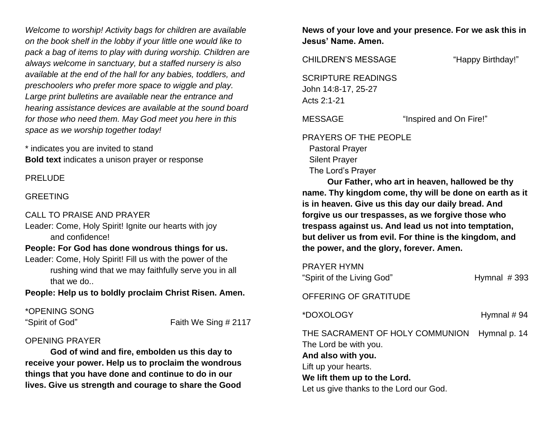*Welcome to worship! Activity bags for children are available on the book shelf in the lobby if your little one would like to pack a bag of items to play with during worship. Children are always welcome in sanctuary, but a staffed nursery is also available at the end of the hall for any babies, toddlers, and preschoolers who prefer more space to wiggle and play. Large print bulletins are available near the entrance and hearing assistance devices are available at the sound board for those who need them. May God meet you here in this space as we worship together today!*

\* indicates you are invited to stand **Bold text** indicates a unison prayer or response

PRELUDE

#### GREETING

#### CALL TO PRAISE AND PRAYER

Leader: Come, Holy Spirit! Ignite our hearts with joy and confidence!

## **People: For God has done wondrous things for us.**

Leader: Come, Holy Spirit! Fill us with the power of the rushing wind that we may faithfully serve you in all that we do..

**People: Help us to boldly proclaim Christ Risen. Amen.**

\*OPENING SONG

"Spirit of God" Faith We Sing # 2117

#### OPENING PRAYER

**God of wind and fire, embolden us this day to receive your power. Help us to proclaim the wondrous things that you have done and continue to do in our lives. Give us strength and courage to share the Good** 

**News of your love and your presence. For we ask this in Jesus' Name. Amen.**

CHILDREN'S MESSAGE "Happy Birthday!"

SCRIPTURE READINGS John 14:8-17, 25-27 Acts 2:1-21

MESSAGE "Inspired and On Fire!"

PRAYERS OF THE PEOPLE Pastoral Prayer Silent Prayer The Lord's Prayer

**Our Father, who art in heaven, hallowed be thy name. Thy kingdom come, thy will be done on earth as it is in heaven. Give us this day our daily bread. And forgive us our trespasses, as we forgive those who trespass against us. And lead us not into temptation, but deliver us from evil. For thine is the kingdom, and the power, and the glory, forever. Amen.**

PRAYER HYMN

| "Spirit of the Living God" | Hymnal $#393$ |
|----------------------------|---------------|
|                            |               |

OFFERING OF GRATITUDE

\*DOXOLOGY Hymnal # 94

THE SACRAMENT OF HOLY COMMUNION Hymnal p. 14 The Lord be with you. **And also with you.** Lift up your hearts. **We lift them up to the Lord.** Let us give thanks to the Lord our God.